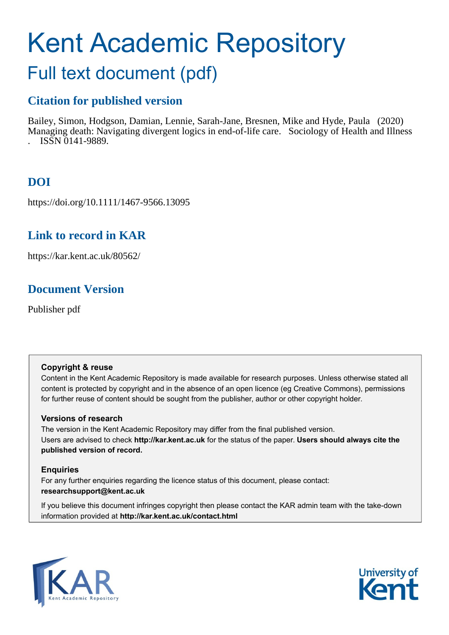# Kent Academic Repository

# Full text document (pdf)

# **Citation for published version**

Bailey, Simon, Hodgson, Damian, Lennie, Sarah-Jane, Bresnen, Mike and Hyde, Paula (2020) Managing death: Navigating divergent logics in end-of-life care. Sociology of Health and Illness . ISSN 0141-9889.

# **DOI**

https://doi.org/10.1111/1467-9566.13095

## **Link to record in KAR**

https://kar.kent.ac.uk/80562/

## **Document Version**

Publisher pdf

#### **Copyright & reuse**

Content in the Kent Academic Repository is made available for research purposes. Unless otherwise stated all content is protected by copyright and in the absence of an open licence (eg Creative Commons), permissions for further reuse of content should be sought from the publisher, author or other copyright holder.

#### **Versions of research**

The version in the Kent Academic Repository may differ from the final published version. Users are advised to check **http://kar.kent.ac.uk** for the status of the paper. **Users should always cite the published version of record.**

#### **Enquiries**

For any further enquiries regarding the licence status of this document, please contact: **researchsupport@kent.ac.uk**

If you believe this document infringes copyright then please contact the KAR admin team with the take-down information provided at **http://kar.kent.ac.uk/contact.html**



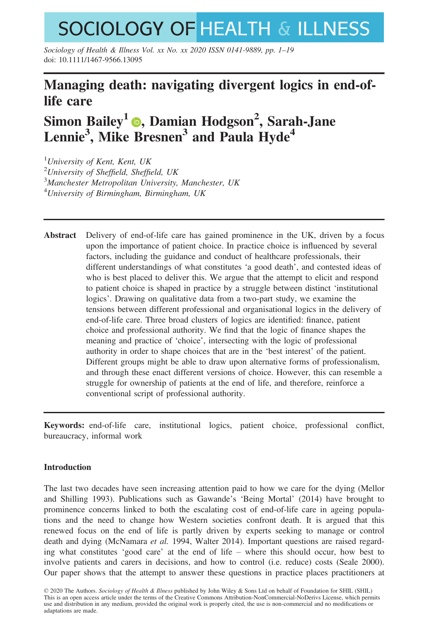# **SOCIOLOGY OF HEALTH & ILLNESS**

Sociology of Health & Illness Vol. xx No. xx 2020 ISSN 0141-9889, pp. 1–19 doi: 10.1111/1467-9566.13095

### Managing death: navigating divergent logics in end-oflife care

# Simon Bailey1 , Damian Hodgson<sup>2</sup> , Sarah-Jane Lennie<sup>3</sup>, Mike Bresnen<sup>3</sup> and Paula Hyde<sup>4</sup>

 $1$ University of Kent, Kent, UK <sup>2</sup>University of Sheffield, Sheffield, UK <sup>3</sup>Manchester Metropolitan University, Manchester, UK <sup>4</sup>University of Birmingham, Birmingham, UK

Abstract Delivery of end-of-life care has gained prominence in the UK, driven by a focus upon the importance of patient choice. In practice choice is influenced by several factors, including the guidance and conduct of healthcare professionals, their different understandings of what constitutes 'a good death', and contested ideas of who is best placed to deliver this. We argue that the attempt to elicit and respond to patient choice is shaped in practice by a struggle between distinct 'institutional logics'. Drawing on qualitative data from a two-part study, we examine the tensions between different professional and organisational logics in the delivery of end-of-life care. Three broad clusters of logics are identified: finance, patient choice and professional authority. We find that the logic of finance shapes the meaning and practice of 'choice', intersecting with the logic of professional authority in order to shape choices that are in the 'best interest' of the patient. Different groups might be able to draw upon alternative forms of professionalism, and through these enact different versions of choice. However, this can resemble a struggle for ownership of patients at the end of life, and therefore, reinforce a conventional script of professional authority.

Keywords: end-of-life care, institutional logics, patient choice, professional conflict, bureaucracy, informal work

#### Introduction

The last two decades have seen increasing attention paid to how we care for the dying (Mellor and Shilling 1993). Publications such as Gawande's 'Being Mortal' (2014) have brought to prominence concerns linked to both the escalating cost of end-of-life care in ageing populations and the need to change how Western societies confront death. It is argued that this renewed focus on the end of life is partly driven by experts seeking to manage or control death and dying (McNamara et al. 1994, Walter 2014). Important questions are raised regarding what constitutes 'good care' at the end of life – where this should occur, how best to involve patients and carers in decisions, and how to control (i.e. reduce) costs (Seale 2000). Our paper shows that the attempt to answer these questions in practice places practitioners at

<sup>© 2020</sup> The Authors. Sociology of Health & Illness published by John Wiley & Sons Ltd on behalf of Foundation for SHIL (SHIL) This is an open access article under the terms of the [Creative Commons Attribution-NonCommercial-NoDerivs](http://creativecommons.org/licenses/by-nc-nd/4.0/) License, which permits use and distribution in any medium, provided the original work is properly cited, the use is non-commercial and no modifications or adaptations are made.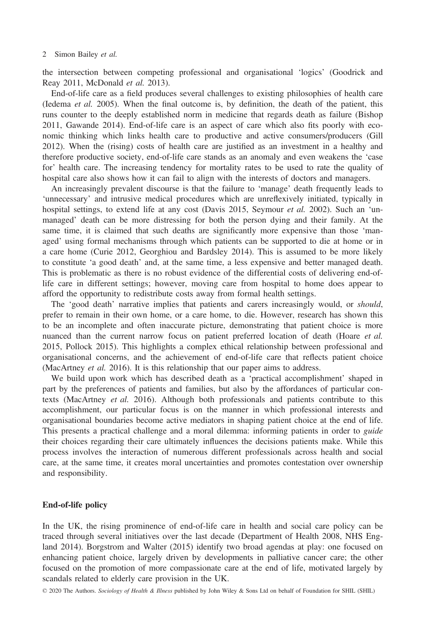the intersection between competing professional and organisational 'logics' (Goodrick and Reay 2011, McDonald et al. 2013).

End-of-life care as a field produces several challenges to existing philosophies of health care (Iedema et al. 2005). When the final outcome is, by definition, the death of the patient, this runs counter to the deeply established norm in medicine that regards death as failure (Bishop 2011, Gawande 2014). End-of-life care is an aspect of care which also fits poorly with economic thinking which links health care to productive and active consumers/producers (Gill 2012). When the (rising) costs of health care are justified as an investment in a healthy and therefore productive society, end-of-life care stands as an anomaly and even weakens the 'case for' health care. The increasing tendency for mortality rates to be used to rate the quality of hospital care also shows how it can fail to align with the interests of doctors and managers.

An increasingly prevalent discourse is that the failure to 'manage' death frequently leads to 'unnecessary' and intrusive medical procedures which are unreflexively initiated, typically in hospital settings, to extend life at any cost (Davis 2015, Seymour *et al.* 2002). Such an 'unmanaged' death can be more distressing for both the person dying and their family. At the same time, it is claimed that such deaths are significantly more expensive than those 'managed' using formal mechanisms through which patients can be supported to die at home or in a care home (Curie 2012, Georghiou and Bardsley 2014). This is assumed to be more likely to constitute 'a good death' and, at the same time, a less expensive and better managed death. This is problematic as there is no robust evidence of the differential costs of delivering end-oflife care in different settings; however, moving care from hospital to home does appear to afford the opportunity to redistribute costs away from formal health settings.

The 'good death' narrative implies that patients and carers increasingly would, or should, prefer to remain in their own home, or a care home, to die. However, research has shown this to be an incomplete and often inaccurate picture, demonstrating that patient choice is more nuanced than the current narrow focus on patient preferred location of death (Hoare et al. 2015, Pollock 2015). This highlights a complex ethical relationship between professional and organisational concerns, and the achievement of end-of-life care that reflects patient choice (MacArtney *et al.* 2016). It is this relationship that our paper aims to address.

We build upon work which has described death as a 'practical accomplishment' shaped in part by the preferences of patients and families, but also by the affordances of particular contexts (MacArtney et al. 2016). Although both professionals and patients contribute to this accomplishment, our particular focus is on the manner in which professional interests and organisational boundaries become active mediators in shaping patient choice at the end of life. This presents a practical challenge and a moral dilemma: informing patients in order to *guide* their choices regarding their care ultimately influences the decisions patients make. While this process involves the interaction of numerous different professionals across health and social care, at the same time, it creates moral uncertainties and promotes contestation over ownership and responsibility.

#### End-of-life policy

In the UK, the rising prominence of end-of-life care in health and social care policy can be traced through several initiatives over the last decade (Department of Health 2008, NHS England 2014). Borgstrom and Walter (2015) identify two broad agendas at play: one focused on enhancing patient choice, largely driven by developments in palliative cancer care; the other focused on the promotion of more compassionate care at the end of life, motivated largely by scandals related to elderly care provision in the UK.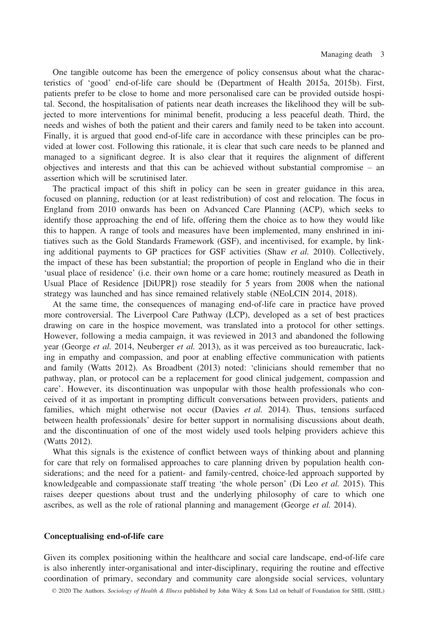One tangible outcome has been the emergence of policy consensus about what the characteristics of 'good' end-of-life care should be (Department of Health 2015a, 2015b). First, patients prefer to be close to home and more personalised care can be provided outside hospital. Second, the hospitalisation of patients near death increases the likelihood they will be subjected to more interventions for minimal benefit, producing a less peaceful death. Third, the needs and wishes of both the patient and their carers and family need to be taken into account. Finally, it is argued that good end-of-life care in accordance with these principles can be provided at lower cost. Following this rationale, it is clear that such care needs to be planned and managed to a significant degree. It is also clear that it requires the alignment of different objectives and interests and that this can be achieved without substantial compromise – an assertion which will be scrutinised later.

The practical impact of this shift in policy can be seen in greater guidance in this area, focused on planning, reduction (or at least redistribution) of cost and relocation. The focus in England from 2010 onwards has been on Advanced Care Planning (ACP), which seeks to identify those approaching the end of life, offering them the choice as to how they would like this to happen. A range of tools and measures have been implemented, many enshrined in initiatives such as the Gold Standards Framework (GSF), and incentivised, for example, by linking additional payments to GP practices for GSF activities (Shaw et al. 2010). Collectively, the impact of these has been substantial; the proportion of people in England who die in their 'usual place of residence' (i.e. their own home or a care home; routinely measured as Death in Usual Place of Residence [DiUPR]) rose steadily for 5 years from 2008 when the national strategy was launched and has since remained relatively stable (NEoLCIN 2014, 2018).

At the same time, the consequences of managing end-of-life care in practice have proved more controversial. The Liverpool Care Pathway (LCP), developed as a set of best practices drawing on care in the hospice movement, was translated into a protocol for other settings. However, following a media campaign, it was reviewed in 2013 and abandoned the following year (George *et al.* 2014, Neuberger *et al.* 2013), as it was perceived as too bureaucratic, lacking in empathy and compassion, and poor at enabling effective communication with patients and family (Watts 2012). As Broadbent (2013) noted: 'clinicians should remember that no pathway, plan, or protocol can be a replacement for good clinical judgement, compassion and care'. However, its discontinuation was unpopular with those health professionals who conceived of it as important in prompting difficult conversations between providers, patients and families, which might otherwise not occur (Davies et al. 2014). Thus, tensions surfaced between health professionals' desire for better support in normalising discussions about death, and the discontinuation of one of the most widely used tools helping providers achieve this (Watts 2012).

What this signals is the existence of conflict between ways of thinking about and planning for care that rely on formalised approaches to care planning driven by population health considerations; and the need for a patient- and family-centred, choice-led approach supported by knowledgeable and compassionate staff treating 'the whole person' (Di Leo *et al.* 2015). This raises deeper questions about trust and the underlying philosophy of care to which one ascribes, as well as the role of rational planning and management (George et al. 2014).

#### Conceptualising end-of-life care

Given its complex positioning within the healthcare and social care landscape, end-of-life care is also inherently inter-organisational and inter-disciplinary, requiring the routine and effective coordination of primary, secondary and community care alongside social services, voluntary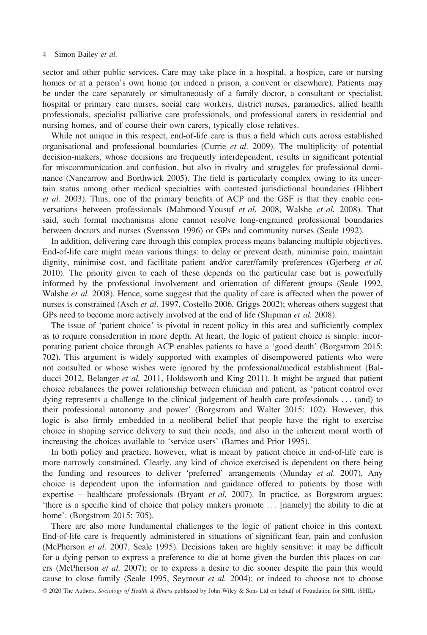sector and other public services. Care may take place in a hospital, a hospice, care or nursing homes or at a person's own home (or indeed a prison, a convent or elsewhere). Patients may be under the care separately or simultaneously of a family doctor, a consultant or specialist, hospital or primary care nurses, social care workers, district nurses, paramedics, allied health professionals, specialist palliative care professionals, and professional carers in residential and nursing homes, and of course their own carers, typically close relatives.

While not unique in this respect, end-of-life care is thus a field which cuts across established organisational and professional boundaries (Currie et al. 2009). The multiplicity of potential decision-makers, whose decisions are frequently interdependent, results in significant potential for miscommunication and confusion, but also in rivalry and struggles for professional dominance (Nancarrow and Borthwick 2005). The field is particularly complex owing to its uncertain status among other medical specialties with contested jurisdictional boundaries (Hibbert et al. 2003). Thus, one of the primary benefits of ACP and the GSF is that they enable conversations between professionals (Mahmood-Yousuf et al. 2008, Walshe et al. 2008). That said, such formal mechanisms alone cannot resolve long-engrained professional boundaries between doctors and nurses (Svensson 1996) or GPs and community nurses (Seale 1992).

In addition, delivering care through this complex process means balancing multiple objectives. End-of-life care might mean various things: to delay or prevent death, minimise pain, maintain dignity, minimise cost, and facilitate patient and/or carer/family preferences (Gjerberg et al. 2010). The priority given to each of these depends on the particular case but is powerfully informed by the professional involvement and orientation of different groups (Seale 1992, Walshe *et al.* 2008). Hence, some suggest that the quality of care is affected when the power of nurses is constrained (Asch et al. 1997, Costello 2006, Griggs 2002); whereas others suggest that GPs need to become more actively involved at the end of life (Shipman *et al.* 2008).

The issue of 'patient choice' is pivotal in recent policy in this area and sufficiently complex as to require consideration in more depth. At heart, the logic of patient choice is simple: incorporating patient choice through ACP enables patients to have a 'good death' (Borgstrom 2015: 702). This argument is widely supported with examples of disempowered patients who were not consulted or whose wishes were ignored by the professional/medical establishment (Balducci 2012, Belanger *et al.* 2011, Holdsworth and King 2011). It might be argued that patient choice rebalances the power relationship between clinician and patient, as 'patient control over dying represents a challenge to the clinical judgement of health care professionals ... (and) to their professional autonomy and power' (Borgstrom and Walter 2015: 102). However, this logic is also firmly embedded in a neoliberal belief that people have the right to exercise choice in shaping service delivery to suit their needs, and also in the inherent moral worth of increasing the choices available to 'service users' (Barnes and Prior 1995).

In both policy and practice, however, what is meant by patient choice in end-of-life care is more narrowly constrained. Clearly, any kind of choice exercised is dependent on there being the funding and resources to deliver 'preferred' arrangements (Munday  $et$  al. 2007). Any choice is dependent upon the information and guidance offered to patients by those with expertise – healthcare professionals (Bryant *et al.* 2007). In practice, as Borgstrom argues; 'there is a specific kind of choice that policy makers promote ... [namely] the ability to die at home'. (Borgstrom 2015: 705).

There are also more fundamental challenges to the logic of patient choice in this context. End-of-life care is frequently administered in situations of significant fear, pain and confusion (McPherson et al. 2007, Seale 1995). Decisions taken are highly sensitive: it may be difficult for a dying person to express a preference to die at home given the burden this places on carers (McPherson et al. 2007); or to express a desire to die sooner despite the pain this would cause to close family (Seale 1995, Seymour et al. 2004); or indeed to choose not to choose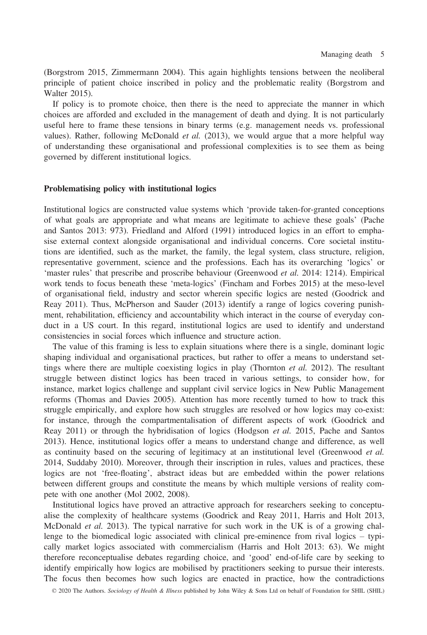(Borgstrom 2015, Zimmermann 2004). This again highlights tensions between the neoliberal principle of patient choice inscribed in policy and the problematic reality (Borgstrom and Walter 2015).

If policy is to promote choice, then there is the need to appreciate the manner in which choices are afforded and excluded in the management of death and dying. It is not particularly useful here to frame these tensions in binary terms (e.g. management needs vs. professional values). Rather, following McDonald et al.  $(2013)$ , we would argue that a more helpful way of understanding these organisational and professional complexities is to see them as being governed by different institutional logics.

#### Problematising policy with institutional logics

Institutional logics are constructed value systems which 'provide taken-for-granted conceptions of what goals are appropriate and what means are legitimate to achieve these goals' (Pache and Santos 2013: 973). Friedland and Alford (1991) introduced logics in an effort to emphasise external context alongside organisational and individual concerns. Core societal institutions are identified, such as the market, the family, the legal system, class structure, religion, representative government, science and the professions. Each has its overarching 'logics' or 'master rules' that prescribe and proscribe behaviour (Greenwood et al. 2014: 1214). Empirical work tends to focus beneath these 'meta-logics' (Fincham and Forbes 2015) at the meso-level of organisational field, industry and sector wherein specific logics are nested (Goodrick and Reay 2011). Thus, McPherson and Sauder (2013) identify a range of logics covering punishment, rehabilitation, efficiency and accountability which interact in the course of everyday conduct in a US court. In this regard, institutional logics are used to identify and understand consistencies in social forces which influence and structure action.

The value of this framing is less to explain situations where there is a single, dominant logic shaping individual and organisational practices, but rather to offer a means to understand settings where there are multiple coexisting logics in play (Thornton *et al.* 2012). The resultant struggle between distinct logics has been traced in various settings, to consider how, for instance, market logics challenge and supplant civil service logics in New Public Management reforms (Thomas and Davies 2005). Attention has more recently turned to how to track this struggle empirically, and explore how such struggles are resolved or how logics may co-exist: for instance, through the compartmentalisation of different aspects of work (Goodrick and Reay 2011) or through the hybridisation of logics (Hodgson et al. 2015, Pache and Santos 2013). Hence, institutional logics offer a means to understand change and difference, as well as continuity based on the securing of legitimacy at an institutional level (Greenwood et al. 2014, Suddaby 2010). Moreover, through their inscription in rules, values and practices, these logics are not 'free-floating', abstract ideas but are embedded within the power relations between different groups and constitute the means by which multiple versions of reality compete with one another (Mol 2002, 2008).

Institutional logics have proved an attractive approach for researchers seeking to conceptualise the complexity of healthcare systems (Goodrick and Reay 2011, Harris and Holt 2013, McDonald *et al.* 2013). The typical narrative for such work in the UK is of a growing challenge to the biomedical logic associated with clinical pre-eminence from rival logics – typically market logics associated with commercialism (Harris and Holt 2013: 63). We might therefore reconceptualise debates regarding choice, and 'good' end-of-life care by seeking to identify empirically how logics are mobilised by practitioners seeking to pursue their interests. The focus then becomes how such logics are enacted in practice, how the contradictions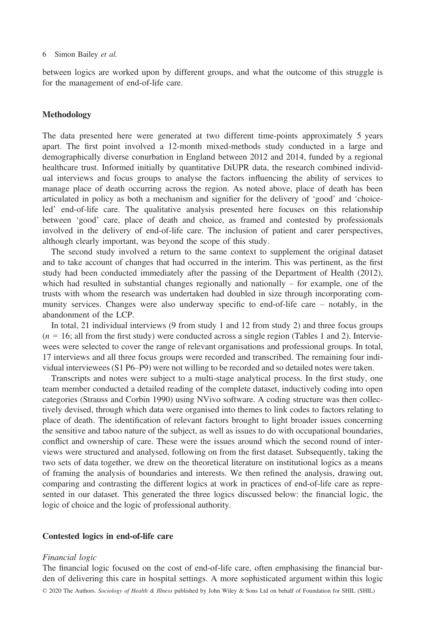between logics are worked upon by different groups, and what the outcome of this struggle is for the management of end-of-life care.

#### Methodology

The data presented here were generated at two different time-points approximately 5 years apart. The first point involved a 12-month mixed-methods study conducted in a large and demographically diverse conurbation in England between 2012 and 2014, funded by a regional healthcare trust. Informed initially by quantitative DiUPR data, the research combined individual interviews and focus groups to analyse the factors influencing the ability of services to manage place of death occurring across the region. As noted above, place of death has been articulated in policy as both a mechanism and signifier for the delivery of 'good' and 'choiceled' end-of-life care. The qualitative analysis presented here focuses on this relationship between 'good' care, place of death and choice, as framed and contested by professionals involved in the delivery of end-of-life care. The inclusion of patient and carer perspectives, although clearly important, was beyond the scope of this study.

The second study involved a return to the same context to supplement the original dataset and to take account of changes that had occurred in the interim. This was pertinent, as the first study had been conducted immediately after the passing of the Department of Health (2012), which had resulted in substantial changes regionally and nationally – for example, one of the trusts with whom the research was undertaken had doubled in size through incorporating community services. Changes were also underway specific to end-of-life care – notably, in the abandonment of the LCP.

In total, 21 individual interviews (9 from study 1 and 12 from study 2) and three focus groups  $(n = 16;$  all from the first study) were conducted across a single region (Tables 1 and 2). Interviewees were selected to cover the range of relevant organisations and professional groups. In total, 17 interviews and all three focus groups were recorded and transcribed. The remaining four individual interviewees (S1 P6–P9) were not willing to be recorded and so detailed notes were taken.

Transcripts and notes were subject to a multi-stage analytical process. In the first study, one team member conducted a detailed reading of the complete dataset, inductively coding into open categories (Strauss and Corbin 1990) using NVivo software. A coding structure was then collectively devised, through which data were organised into themes to link codes to factors relating to place of death. The identification of relevant factors brought to light broader issues concerning the sensitive and taboo nature of the subject, as well as issues to do with occupational boundaries, conflict and ownership of care. These were the issues around which the second round of interviews were structured and analysed, following on from the first dataset. Subsequently, taking the two sets of data together, we drew on the theoretical literature on institutional logics as a means of framing the analysis of boundaries and interests. We then refined the analysis, drawing out, comparing and contrasting the different logics at work in practices of end-of-life care as represented in our dataset. This generated the three logics discussed below: the financial logic, the logic of choice and the logic of professional authority.

#### Contested logics in end-of-life care

#### Financial logic

The financial logic focused on the cost of end-of-life care, often emphasising the financial burden of delivering this care in hospital settings. A more sophisticated argument within this logic © 2020 The Authors. Sociology of Health & Illness published by John Wiley & Sons Ltd on behalf of Foundation for SHIL (SHIL)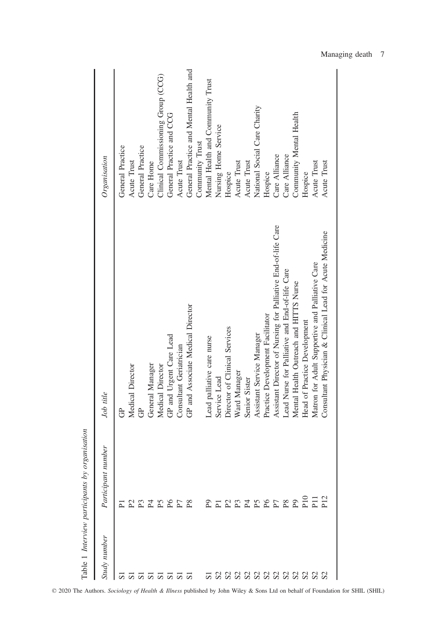| Table 1 Interview participants by or | <i>rganisation</i>                        |                                                               |                                        |
|--------------------------------------|-------------------------------------------|---------------------------------------------------------------|----------------------------------------|
| Study number                         | Participant number                        | Job title                                                     | Organisation                           |
|                                      | 运                                         | පි                                                            | <b>General Practice</b>                |
|                                      |                                           | Medical Director                                              | Acute Trust                            |
|                                      |                                           | පි                                                            | <b>General Practice</b>                |
|                                      |                                           | General Manager                                               | Care Home                              |
| <b>ឆ្គួ</b> ឆ្គួ ឆ្គ                 | 22222222                                  | Medical Director                                              | Clinical Commissioning Group (CCG)     |
|                                      |                                           | GP and Urgent Care Lead                                       | General Practice and CCG               |
|                                      |                                           | Consultant Geriatrician                                       | Acute Trust                            |
|                                      |                                           | GP and Associate Medical Director                             | General Practice and Mental Health and |
|                                      |                                           |                                                               | Community Trust                        |
| $\overline{5}$                       | $\mathbb Z$ ត្រូវ ក្នុង ក្នុង ក្នុង ក្នុង | Lead palliative care nurse                                    | Mental Health and Community Trust      |
|                                      |                                           | Service Lead                                                  | Nursing Home Service                   |
|                                      |                                           | Director of Clinical Services                                 | Hospice                                |
| 88888888888                          |                                           | Ward Manager                                                  | Acute Trust                            |
|                                      |                                           | Senior Sister                                                 | Acute Trust                            |
|                                      |                                           | Assistant Service Manager                                     | National Social Care Charity           |
|                                      |                                           | Practice Development Facilitator                              | Hospice                                |
|                                      |                                           | Assistant Director of Nursing for Palliative End-of-life Care | Care Alliance                          |
|                                      |                                           | Lead Nurse for Palliative and End-of-life Care                | Care Alliance                          |
|                                      |                                           | Mental Health Outreach and HITTS Nurse                        | Community Mental Health                |
|                                      |                                           | Head of Practice Development                                  | Hospice                                |
|                                      |                                           | Matron for Adult Supportive and Palliative Care               | Acute Trust                            |
|                                      |                                           | Consultant Physician & Clinical Lead for Acute Medicine       | Acute Trust                            |
|                                      |                                           |                                                               |                                        |

© 2020 The Authors. Sociology of Health & Illness published by John Wiley & Sons Ltd on behalf of Foundation for SHIL (SHIL)

Managing death 7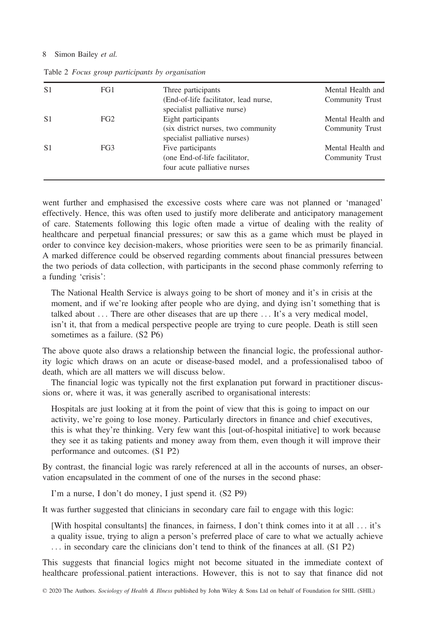| S <sub>1</sub> | FG1 | Three participants                                                                         | Mental Health and                    |
|----------------|-----|--------------------------------------------------------------------------------------------|--------------------------------------|
|                |     | (End-of-life facilitator, lead nurse,<br>specialist palliative nurse)                      | Community Trust                      |
| S <sub>1</sub> | FG2 | Eight participants<br>(six district nurses, two community<br>specialist palliative nurses) | Mental Health and<br>Community Trust |
| S <sub>1</sub> | FG3 | Five participants<br>(one End-of-life facilitator,<br>four acute palliative nurses         | Mental Health and<br>Community Trust |

Table 2 Focus group participants by organisation

went further and emphasised the excessive costs where care was not planned or 'managed' effectively. Hence, this was often used to justify more deliberate and anticipatory management of care. Statements following this logic often made a virtue of dealing with the reality of healthcare and perpetual financial pressures; or saw this as a game which must be played in order to convince key decision-makers, whose priorities were seen to be as primarily financial. A marked difference could be observed regarding comments about financial pressures between the two periods of data collection, with participants in the second phase commonly referring to a funding 'crisis':

The National Health Service is always going to be short of money and it's in crisis at the moment, and if we're looking after people who are dying, and dying isn't something that is talked about ... There are other diseases that are up there ... It's a very medical model, isn't it, that from a medical perspective people are trying to cure people. Death is still seen sometimes as a failure. (S2 P6)

The above quote also draws a relationship between the financial logic, the professional authority logic which draws on an acute or disease-based model, and a professionalised taboo of death, which are all matters we will discuss below.

The financial logic was typically not the first explanation put forward in practitioner discussions or, where it was, it was generally ascribed to organisational interests:

Hospitals are just looking at it from the point of view that this is going to impact on our activity, we're going to lose money. Particularly directors in finance and chief executives, this is what they're thinking. Very few want this [out-of-hospital initiative] to work because they see it as taking patients and money away from them, even though it will improve their performance and outcomes. (S1 P2)

By contrast, the financial logic was rarely referenced at all in the accounts of nurses, an observation encapsulated in the comment of one of the nurses in the second phase:

I'm a nurse, I don't do money, I just spend it. (S2 P9)

It was further suggested that clinicians in secondary care fail to engage with this logic:

[With hospital consultants] the finances, in fairness, I don't think comes into it at all ... it's a quality issue, trying to align a person's preferred place of care to what we actually achieve ... in secondary care the clinicians don't tend to think of the finances at all. (S1 P2)

This suggests that financial logics might not become situated in the immediate context of healthcare professional–patient interactions. However, this is not to say that finance did not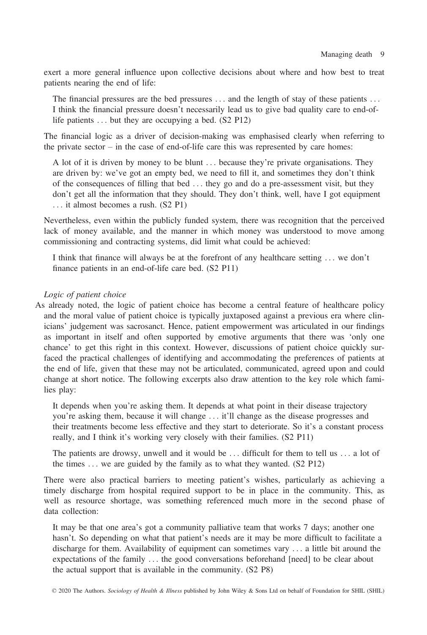exert a more general influence upon collective decisions about where and how best to treat patients nearing the end of life:

The financial pressures are the bed pressures ... and the length of stay of these patients ... I think the financial pressure doesn't necessarily lead us to give bad quality care to end-oflife patients ... but they are occupying a bed. (S2 P12)

The financial logic as a driver of decision-making was emphasised clearly when referring to the private sector – in the case of end-of-life care this was represented by care homes:

A lot of it is driven by money to be blunt ... because they're private organisations. They are driven by: we've got an empty bed, we need to fill it, and sometimes they don't think of the consequences of filling that bed ... they go and do a pre-assessment visit, but they don't get all the information that they should. They don't think, well, have I got equipment ... it almost becomes a rush. (S2 P1)

Nevertheless, even within the publicly funded system, there was recognition that the perceived lack of money available, and the manner in which money was understood to move among commissioning and contracting systems, did limit what could be achieved:

I think that finance will always be at the forefront of any healthcare setting ... we don't finance patients in an end-of-life care bed. (S2 P11)

#### Logic of patient choice

As already noted, the logic of patient choice has become a central feature of healthcare policy and the moral value of patient choice is typically juxtaposed against a previous era where clinicians' judgement was sacrosanct. Hence, patient empowerment was articulated in our findings as important in itself and often supported by emotive arguments that there was 'only one chance' to get this right in this context. However, discussions of patient choice quickly surfaced the practical challenges of identifying and accommodating the preferences of patients at the end of life, given that these may not be articulated, communicated, agreed upon and could change at short notice. The following excerpts also draw attention to the key role which families play:

It depends when you're asking them. It depends at what point in their disease trajectory you're asking them, because it will change ... it'll change as the disease progresses and their treatments become less effective and they start to deteriorate. So it's a constant process really, and I think it's working very closely with their families. (S2 P11)

The patients are drowsy, unwell and it would be ... difficult for them to tell us ... a lot of the times ... we are guided by the family as to what they wanted. (S2 P12)

There were also practical barriers to meeting patient's wishes, particularly as achieving a timely discharge from hospital required support to be in place in the community. This, as well as resource shortage, was something referenced much more in the second phase of data collection:

It may be that one area's got a community palliative team that works 7 days; another one hasn't. So depending on what that patient's needs are it may be more difficult to facilitate a discharge for them. Availability of equipment can sometimes vary ... a little bit around the expectations of the family ... the good conversations beforehand [need] to be clear about the actual support that is available in the community. (S2 P8)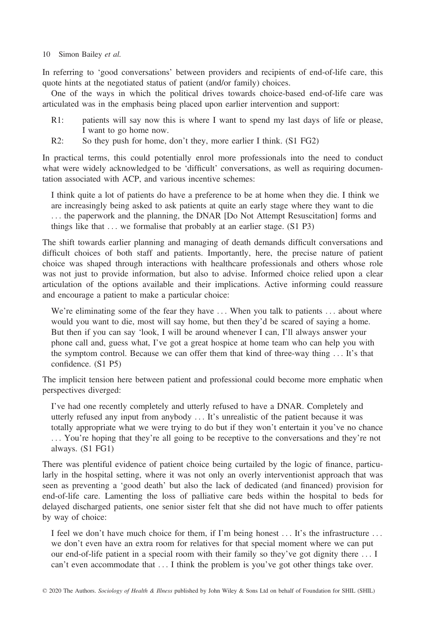In referring to 'good conversations' between providers and recipients of end-of-life care, this quote hints at the negotiated status of patient (and/or family) choices.

One of the ways in which the political drives towards choice-based end-of-life care was articulated was in the emphasis being placed upon earlier intervention and support:

- R1: patients will say now this is where I want to spend my last days of life or please, I want to go home now.
- R2: So they push for home, don't they, more earlier I think. (S1 FG2)

In practical terms, this could potentially enrol more professionals into the need to conduct what were widely acknowledged to be 'difficult' conversations, as well as requiring documentation associated with ACP, and various incentive schemes:

I think quite a lot of patients do have a preference to be at home when they die. I think we are increasingly being asked to ask patients at quite an early stage where they want to die ... the paperwork and the planning, the DNAR [Do Not Attempt Resuscitation] forms and things like that  $\dots$  we formalise that probably at an earlier stage.  $(S1 P3)$ 

The shift towards earlier planning and managing of death demands difficult conversations and difficult choices of both staff and patients. Importantly, here, the precise nature of patient choice was shaped through interactions with healthcare professionals and others whose role was not just to provide information, but also to advise. Informed choice relied upon a clear articulation of the options available and their implications. Active informing could reassure and encourage a patient to make a particular choice:

We're eliminating some of the fear they have ... When you talk to patients ... about where would you want to die, most will say home, but then they'd be scared of saying a home. But then if you can say 'look, I will be around whenever I can, I'll always answer your phone call and, guess what, I've got a great hospice at home team who can help you with the symptom control. Because we can offer them that kind of three-way thing ... It's that confidence. (S1 P5)

The implicit tension here between patient and professional could become more emphatic when perspectives diverged:

I've had one recently completely and utterly refused to have a DNAR. Completely and utterly refused any input from anybody ... It's unrealistic of the patient because it was totally appropriate what we were trying to do but if they won't entertain it you've no chance ... You're hoping that they're all going to be receptive to the conversations and they're not always. (S1 FG1)

There was plentiful evidence of patient choice being curtailed by the logic of finance, particularly in the hospital setting, where it was not only an overly interventionist approach that was seen as preventing a 'good death' but also the lack of dedicated (and financed) provision for end-of-life care. Lamenting the loss of palliative care beds within the hospital to beds for delayed discharged patients, one senior sister felt that she did not have much to offer patients by way of choice:

I feel we don't have much choice for them, if I'm being honest ... It's the infrastructure ... we don't even have an extra room for relatives for that special moment where we can put our end-of-life patient in a special room with their family so they've got dignity there ... I can't even accommodate that ... I think the problem is you've got other things take over.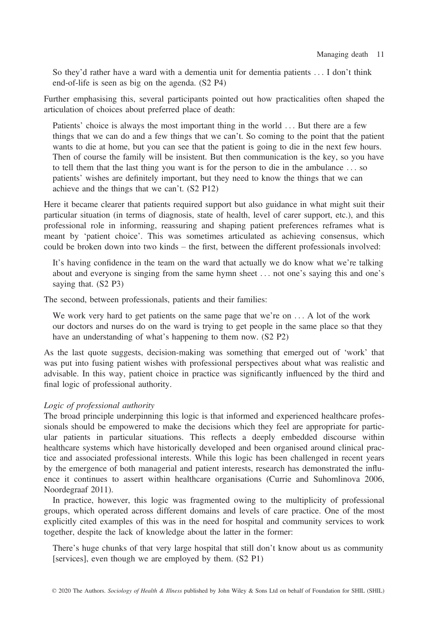So they'd rather have a ward with a dementia unit for dementia patients ... I don't think end-of-life is seen as big on the agenda. (S2 P4)

Further emphasising this, several participants pointed out how practicalities often shaped the articulation of choices about preferred place of death:

Patients' choice is always the most important thing in the world ... But there are a few things that we can do and a few things that we can't. So coming to the point that the patient wants to die at home, but you can see that the patient is going to die in the next few hours. Then of course the family will be insistent. But then communication is the key, so you have to tell them that the last thing you want is for the person to die in the ambulance ... so patients' wishes are definitely important, but they need to know the things that we can achieve and the things that we can't. (S2 P12)

Here it became clearer that patients required support but also guidance in what might suit their particular situation (in terms of diagnosis, state of health, level of carer support, etc.), and this professional role in informing, reassuring and shaping patient preferences reframes what is meant by 'patient choice'. This was sometimes articulated as achieving consensus, which could be broken down into two kinds – the first, between the different professionals involved:

It's having confidence in the team on the ward that actually we do know what we're talking about and everyone is singing from the same hymn sheet ... not one's saying this and one's saying that. (S2 P3)

The second, between professionals, patients and their families:

We work very hard to get patients on the same page that we're on ... A lot of the work our doctors and nurses do on the ward is trying to get people in the same place so that they have an understanding of what's happening to them now. (S2 P2)

As the last quote suggests, decision-making was something that emerged out of 'work' that was put into fusing patient wishes with professional perspectives about what was realistic and advisable. In this way, patient choice in practice was significantly influenced by the third and final logic of professional authority.

#### Logic of professional authority

The broad principle underpinning this logic is that informed and experienced healthcare professionals should be empowered to make the decisions which they feel are appropriate for particular patients in particular situations. This reflects a deeply embedded discourse within healthcare systems which have historically developed and been organised around clinical practice and associated professional interests. While this logic has been challenged in recent years by the emergence of both managerial and patient interests, research has demonstrated the influence it continues to assert within healthcare organisations (Currie and Suhomlinova 2006, Noordegraaf 2011).

In practice, however, this logic was fragmented owing to the multiplicity of professional groups, which operated across different domains and levels of care practice. One of the most explicitly cited examples of this was in the need for hospital and community services to work together, despite the lack of knowledge about the latter in the former:

There's huge chunks of that very large hospital that still don't know about us as community [services], even though we are employed by them. (S2 P1)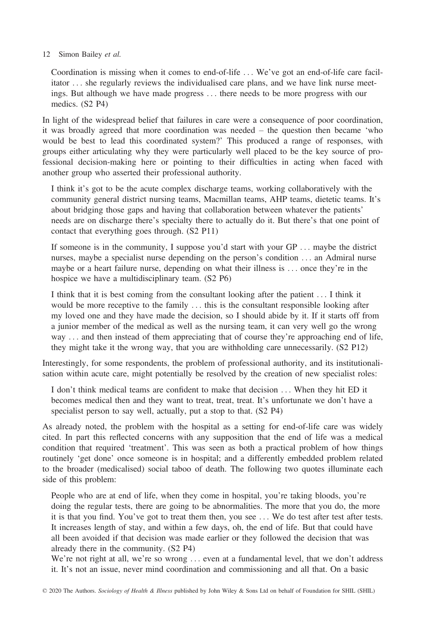Coordination is missing when it comes to end-of-life ... We've got an end-of-life care facilitator ... she regularly reviews the individualised care plans, and we have link nurse meetings. But although we have made progress ... there needs to be more progress with our medics. (S2 P4)

In light of the widespread belief that failures in care were a consequence of poor coordination, it was broadly agreed that more coordination was needed – the question then became 'who would be best to lead this coordinated system?' This produced a range of responses, with groups either articulating why they were particularly well placed to be the key source of professional decision-making here or pointing to their difficulties in acting when faced with another group who asserted their professional authority.

I think it's got to be the acute complex discharge teams, working collaboratively with the community general district nursing teams, Macmillan teams, AHP teams, dietetic teams. It's about bridging those gaps and having that collaboration between whatever the patients' needs are on discharge there's specialty there to actually do it. But there's that one point of contact that everything goes through. (S2 P11)

If someone is in the community, I suppose you'd start with your GP ... maybe the district nurses, maybe a specialist nurse depending on the person's condition ... an Admiral nurse maybe or a heart failure nurse, depending on what their illness is ... once they're in the hospice we have a multidisciplinary team. (S2 P6)

I think that it is best coming from the consultant looking after the patient ... I think it would be more receptive to the family ... this is the consultant responsible looking after my loved one and they have made the decision, so I should abide by it. If it starts off from a junior member of the medical as well as the nursing team, it can very well go the wrong way ... and then instead of them appreciating that of course they're approaching end of life, they might take it the wrong way, that you are withholding care unnecessarily. (S2 P12)

Interestingly, for some respondents, the problem of professional authority, and its institutionalisation within acute care, might potentially be resolved by the creation of new specialist roles:

I don't think medical teams are confident to make that decision ... When they hit ED it becomes medical then and they want to treat, treat, treat. It's unfortunate we don't have a specialist person to say well, actually, put a stop to that. (S2 P4)

As already noted, the problem with the hospital as a setting for end-of-life care was widely cited. In part this reflected concerns with any supposition that the end of life was a medical condition that required 'treatment'. This was seen as both a practical problem of how things routinely 'get done' once someone is in hospital; and a differently embedded problem related to the broader (medicalised) social taboo of death. The following two quotes illuminate each side of this problem:

People who are at end of life, when they come in hospital, you're taking bloods, you're doing the regular tests, there are going to be abnormalities. The more that you do, the more it is that you find. You've got to treat them then, you see ... We do test after test after tests. It increases length of stay, and within a few days, oh, the end of life. But that could have all been avoided if that decision was made earlier or they followed the decision that was already there in the community. (S2 P4)

We're not right at all, we're so wrong ... even at a fundamental level, that we don't address it. It's not an issue, never mind coordination and commissioning and all that. On a basic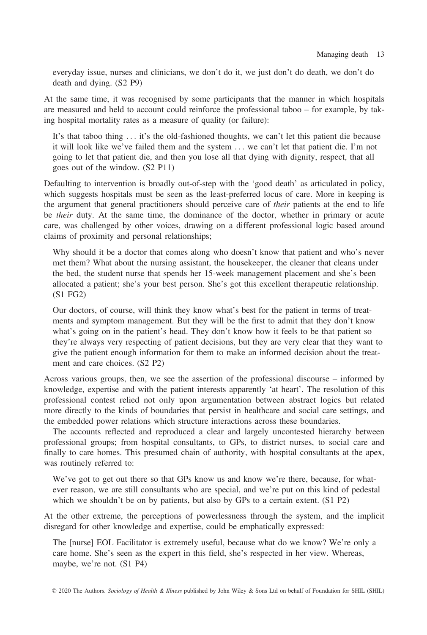everyday issue, nurses and clinicians, we don't do it, we just don't do death, we don't do death and dying. (S2 P9)

At the same time, it was recognised by some participants that the manner in which hospitals are measured and held to account could reinforce the professional taboo – for example, by taking hospital mortality rates as a measure of quality (or failure):

It's that taboo thing ... it's the old-fashioned thoughts, we can't let this patient die because it will look like we've failed them and the system ... we can't let that patient die. I'm not going to let that patient die, and then you lose all that dying with dignity, respect, that all goes out of the window. (S2 P11)

Defaulting to intervention is broadly out-of-step with the 'good death' as articulated in policy, which suggests hospitals must be seen as the least-preferred locus of care. More in keeping is the argument that general practitioners should perceive care of *their* patients at the end to life be their duty. At the same time, the dominance of the doctor, whether in primary or acute care, was challenged by other voices, drawing on a different professional logic based around claims of proximity and personal relationships;

Why should it be a doctor that comes along who doesn't know that patient and who's never met them? What about the nursing assistant, the housekeeper, the cleaner that cleans under the bed, the student nurse that spends her 15-week management placement and she's been allocated a patient; she's your best person. She's got this excellent therapeutic relationship. (S1 FG2)

Our doctors, of course, will think they know what's best for the patient in terms of treatments and symptom management. But they will be the first to admit that they don't know what's going on in the patient's head. They don't know how it feels to be that patient so they're always very respecting of patient decisions, but they are very clear that they want to give the patient enough information for them to make an informed decision about the treatment and care choices. (S2 P2)

Across various groups, then, we see the assertion of the professional discourse – informed by knowledge, expertise and with the patient interests apparently 'at heart'. The resolution of this professional contest relied not only upon argumentation between abstract logics but related more directly to the kinds of boundaries that persist in healthcare and social care settings, and the embedded power relations which structure interactions across these boundaries.

The accounts reflected and reproduced a clear and largely uncontested hierarchy between professional groups; from hospital consultants, to GPs, to district nurses, to social care and finally to care homes. This presumed chain of authority, with hospital consultants at the apex, was routinely referred to:

We've got to get out there so that GPs know us and know we're there, because, for whatever reason, we are still consultants who are special, and we're put on this kind of pedestal which we shouldn't be on by patients, but also by GPs to a certain extent. (S1 P2)

At the other extreme, the perceptions of powerlessness through the system, and the implicit disregard for other knowledge and expertise, could be emphatically expressed:

The [nurse] EOL Facilitator is extremely useful, because what do we know? We're only a care home. She's seen as the expert in this field, she's respected in her view. Whereas, maybe, we're not. (S1 P4)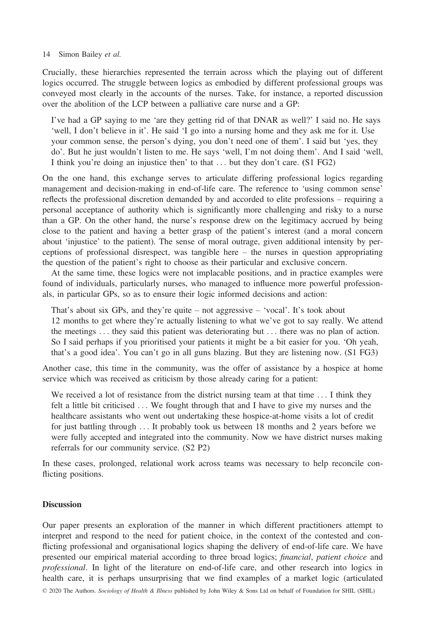Crucially, these hierarchies represented the terrain across which the playing out of different logics occurred. The struggle between logics as embodied by different professional groups was conveyed most clearly in the accounts of the nurses. Take, for instance, a reported discussion over the abolition of the LCP between a palliative care nurse and a GP:

I've had a GP saying to me 'are they getting rid of that DNAR as well?' I said no. He says 'well, I don't believe in it'. He said 'I go into a nursing home and they ask me for it. Use your common sense, the person's dying, you don't need one of them'. I said but 'yes, they do'. But he just wouldn't listen to me. He says 'well, I'm not doing them'. And I said 'well, I think you're doing an injustice then' to that ... but they don't care. (S1 FG2)

On the one hand, this exchange serves to articulate differing professional logics regarding management and decision-making in end-of-life care. The reference to 'using common sense' reflects the professional discretion demanded by and accorded to elite professions – requiring a personal acceptance of authority which is significantly more challenging and risky to a nurse than a GP. On the other hand, the nurse's response drew on the legitimacy accrued by being close to the patient and having a better grasp of the patient's interest (and a moral concern about 'injustice' to the patient). The sense of moral outrage, given additional intensity by perceptions of professional disrespect, was tangible here – the nurses in question appropriating the question of the patient's right to choose as their particular and exclusive concern.

At the same time, these logics were not implacable positions, and in practice examples were found of individuals, particularly nurses, who managed to influence more powerful professionals, in particular GPs, so as to ensure their logic informed decisions and action:

That's about six GPs, and they're quite – not aggressive – 'vocal'. It's took about 12 months to get where they're actually listening to what we've got to say really. We attend the meetings ... they said this patient was deteriorating but ... there was no plan of action. So I said perhaps if you prioritised your patients it might be a bit easier for you. 'Oh yeah, that's a good idea'. You can't go in all guns blazing. But they are listening now. (S1 FG3)

Another case, this time in the community, was the offer of assistance by a hospice at home service which was received as criticism by those already caring for a patient:

We received a lot of resistance from the district nursing team at that time ... I think they felt a little bit criticised ... We fought through that and I have to give my nurses and the healthcare assistants who went out undertaking these hospice-at-home visits a lot of credit for just battling through ... It probably took us between 18 months and 2 years before we were fully accepted and integrated into the community. Now we have district nurses making referrals for our community service. (S2 P2)

In these cases, prolonged, relational work across teams was necessary to help reconcile conflicting positions.

#### **Discussion**

Our paper presents an exploration of the manner in which different practitioners attempt to interpret and respond to the need for patient choice, in the context of the contested and conflicting professional and organisational logics shaping the delivery of end-of-life care. We have presented our empirical material according to three broad logics; financial, patient choice and professional. In light of the literature on end-of-life care, and other research into logics in health care, it is perhaps unsurprising that we find examples of a market logic (articulated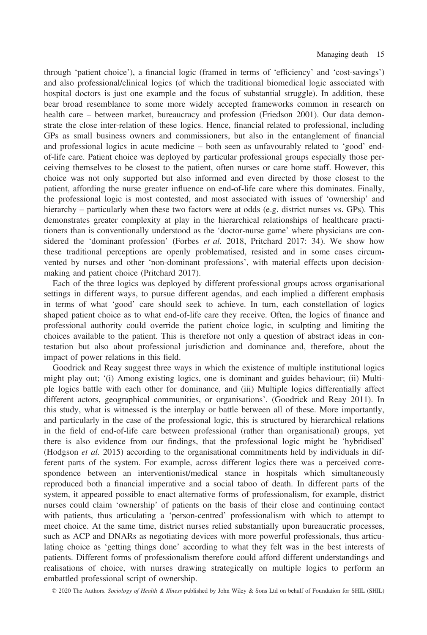through 'patient choice'), a financial logic (framed in terms of 'efficiency' and 'cost-savings') and also professional/clinical logics (of which the traditional biomedical logic associated with hospital doctors is just one example and the focus of substantial struggle). In addition, these bear broad resemblance to some more widely accepted frameworks common in research on health care – between market, bureaucracy and profession (Friedson 2001). Our data demonstrate the close inter-relation of these logics. Hence, financial related to professional, including GPs as small business owners and commissioners, but also in the entanglement of financial and professional logics in acute medicine – both seen as unfavourably related to 'good' endof-life care. Patient choice was deployed by particular professional groups especially those perceiving themselves to be closest to the patient, often nurses or care home staff. However, this choice was not only supported but also informed and even directed by those closest to the patient, affording the nurse greater influence on end-of-life care where this dominates. Finally, the professional logic is most contested, and most associated with issues of 'ownership' and hierarchy – particularly when these two factors were at odds (e.g. district nurses vs. GPs). This demonstrates greater complexity at play in the hierarchical relationships of healthcare practitioners than is conventionally understood as the 'doctor-nurse game' where physicians are considered the 'dominant profession' (Forbes et al. 2018, Pritchard 2017: 34). We show how these traditional perceptions are openly problematised, resisted and in some cases circumvented by nurses and other 'non-dominant professions', with material effects upon decisionmaking and patient choice (Pritchard 2017).

Each of the three logics was deployed by different professional groups across organisational settings in different ways, to pursue different agendas, and each implied a different emphasis in terms of what 'good' care should seek to achieve. In turn, each constellation of logics shaped patient choice as to what end-of-life care they receive. Often, the logics of finance and professional authority could override the patient choice logic, in sculpting and limiting the choices available to the patient. This is therefore not only a question of abstract ideas in contestation but also about professional jurisdiction and dominance and, therefore, about the impact of power relations in this field.

Goodrick and Reay suggest three ways in which the existence of multiple institutional logics might play out; '(i) Among existing logics, one is dominant and guides behaviour; (ii) Multiple logics battle with each other for dominance, and (iii) Multiple logics differentially affect different actors, geographical communities, or organisations'. (Goodrick and Reay 2011). In this study, what is witnessed is the interplay or battle between all of these. More importantly, and particularly in the case of the professional logic, this is structured by hierarchical relations in the field of end-of-life care between professional (rather than organisational) groups, yet there is also evidence from our findings, that the professional logic might be 'hybridised' (Hodgson et al. 2015) according to the organisational commitments held by individuals in different parts of the system. For example, across different logics there was a perceived correspondence between an interventionist/medical stance in hospitals which simultaneously reproduced both a financial imperative and a social taboo of death. In different parts of the system, it appeared possible to enact alternative forms of professionalism, for example, district nurses could claim 'ownership' of patients on the basis of their close and continuing contact with patients, thus articulating a 'person-centred' professionalism with which to attempt to meet choice. At the same time, district nurses relied substantially upon bureaucratic processes, such as ACP and DNARs as negotiating devices with more powerful professionals, thus articulating choice as 'getting things done' according to what they felt was in the best interests of patients. Different forms of professionalism therefore could afford different understandings and realisations of choice, with nurses drawing strategically on multiple logics to perform an embattled professional script of ownership.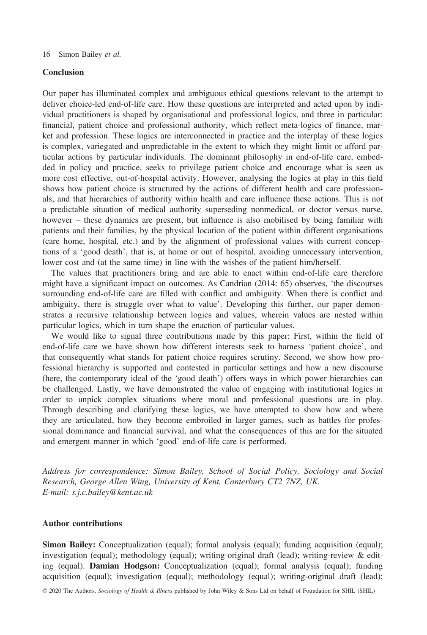#### Conclusion

Our paper has illuminated complex and ambiguous ethical questions relevant to the attempt to deliver choice-led end-of-life care. How these questions are interpreted and acted upon by individual practitioners is shaped by organisational and professional logics, and three in particular: financial, patient choice and professional authority, which reflect meta-logics of finance, market and profession. These logics are interconnected in practice and the interplay of these logics is complex, variegated and unpredictable in the extent to which they might limit or afford particular actions by particular individuals. The dominant philosophy in end-of-life care, embedded in policy and practice, seeks to privilege patient choice and encourage what is seen as more cost effective, out-of-hospital activity. However, analysing the logics at play in this field shows how patient choice is structured by the actions of different health and care professionals, and that hierarchies of authority within health and care influence these actions. This is not a predictable situation of medical authority superseding nonmedical, or doctor versus nurse, however – these dynamics are present, but influence is also mobilised by being familiar with patients and their families, by the physical location of the patient within different organisations (care home, hospital, etc.) and by the alignment of professional values with current conceptions of a 'good death', that is, at home or out of hospital, avoiding unnecessary intervention, lower cost and (at the same time) in line with the wishes of the patient him/herself.

The values that practitioners bring and are able to enact within end-of-life care therefore might have a significant impact on outcomes. As Candrian (2014: 65) observes, 'the discourses surrounding end-of-life care are filled with conflict and ambiguity. When there is conflict and ambiguity, there is struggle over what to value'. Developing this further, our paper demonstrates a recursive relationship between logics and values, wherein values are nested within particular logics, which in turn shape the enaction of particular values.

We would like to signal three contributions made by this paper: First, within the field of end-of-life care we have shown how different interests seek to harness 'patient choice', and that consequently what stands for patient choice requires scrutiny. Second, we show how professional hierarchy is supported and contested in particular settings and how a new discourse (here, the contemporary ideal of the 'good death') offers ways in which power hierarchies can be challenged. Lastly, we have demonstrated the value of engaging with institutional logics in order to unpick complex situations where moral and professional questions are in play. Through describing and clarifying these logics, we have attempted to show how and where they are articulated, how they become embroiled in larger games, such as battles for professional dominance and financial survival, and what the consequences of this are for the situated and emergent manner in which 'good' end-of-life care is performed.

Address for correspondence: Simon Bailey, School of Social Policy, Sociology and Social Research, George Allen Wing, University of Kent, Canterbury CT2 7NZ, UK. E-mail: [s.j.c.bailey@kent.ac.uk](mailto:)

#### Author contributions

Simon Bailey: Conceptualization (equal); formal analysis (equal); funding acquisition (equal); investigation (equal); methodology (equal); writing-original draft (lead); writing-review & editing (equal). Damian Hodgson: Conceptualization (equal); formal analysis (equal); funding acquisition (equal); investigation (equal); methodology (equal); writing-original draft (lead);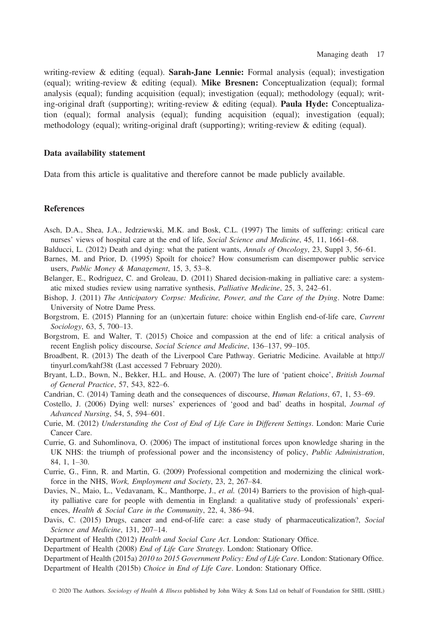writing-review & editing (equal). Sarah-Jane Lennie: Formal analysis (equal); investigation (equal); writing-review & editing (equal). Mike Bresnen: Conceptualization (equal); formal analysis (equal); funding acquisition (equal); investigation (equal); methodology (equal); writing-original draft (supporting); writing-review & editing (equal). Paula Hyde: Conceptualization (equal); formal analysis (equal); funding acquisition (equal); investigation (equal); methodology (equal); writing-original draft (supporting); writing-review & editing (equal).

#### Data availability statement

Data from this article is qualitative and therefore cannot be made publicly available.

#### References

- Asch, D.A., Shea, J.A., Jedrziewski, M.K. and Bosk, C.L. (1997) The limits of suffering: critical care nurses' views of hospital care at the end of life, Social Science and Medicine, 45, 11, 1661–68.
- Balducci, L. (2012) Death and dying: what the patient wants, Annals of Oncology, 23, Suppl 3, 56–61.
- Barnes, M. and Prior, D. (1995) Spoilt for choice? How consumerism can disempower public service users, Public Money & Management, 15, 3, 53–8.
- Belanger, E., Rodriguez, C. and Groleau, D. (2011) Shared decision-making in palliative care: a systematic mixed studies review using narrative synthesis, Palliative Medicine, 25, 3, 242–61.
- Bishop, J. (2011) The Anticipatory Corpse: Medicine, Power, and the Care of the Dying. Notre Dame: University of Notre Dame Press.
- Borgstrom, E. (2015) Planning for an (un)certain future: choice within English end-of-life care, Current Sociology, 63, 5, 700–13.
- Borgstrom, E. and Walter, T. (2015) Choice and compassion at the end of life: a critical analysis of recent English policy discourse, Social Science and Medicine, 136–137, 99–105.
- Broadbent, R. (2013) The death of the Liverpool Care Pathway. Geriatric Medicine. Available at [http://](http://tinyurl.com/kahf38t) [tinyurl.com/kahf38t](http://tinyurl.com/kahf38t) (Last accessed 7 February 2020).
- Bryant, L.D., Bown, N., Bekker, H.L. and House, A. (2007) The lure of 'patient choice', British Journal of General Practice, 57, 543, 822–6.
- Candrian, C. (2014) Taming death and the consequences of discourse, Human Relations, 67, 1, 53–69.
- Costello, J. (2006) Dying well: nurses' experiences of 'good and bad' deaths in hospital, Journal of Advanced Nursing, 54, 5, 594–601.
- Curie, M. (2012) Understanding the Cost of End of Life Care in Different Settings. London: Marie Curie Cancer Care.
- Currie, G. and Suhomlinova, O. (2006) The impact of institutional forces upon knowledge sharing in the UK NHS: the triumph of professional power and the inconsistency of policy, Public Administration, 84, 1, 1–30.
- Currie, G., Finn, R. and Martin, G. (2009) Professional competition and modernizing the clinical workforce in the NHS, Work, Employment and Society, 23, 2, 267–84.
- Davies, N., Maio, L., Vedavanam, K., Manthorpe, J., et al. (2014) Barriers to the provision of high-quality palliative care for people with dementia in England: a qualitative study of professionals' experiences, Health & Social Care in the Community, 22, 4, 386–94.
- Davis, C. (2015) Drugs, cancer and end-of-life care: a case study of pharmaceuticalization?, Social Science and Medicine, 131, 207–14.
- Department of Health (2012) Health and Social Care Act. London: Stationary Office.
- Department of Health (2008) End of Life Care Strategy. London: Stationary Office.
- Department of Health (2015a) 2010 to 2015 Government Policy: End of Life Care. London: Stationary Office.
- Department of Health (2015b) Choice in End of Life Care. London: Stationary Office.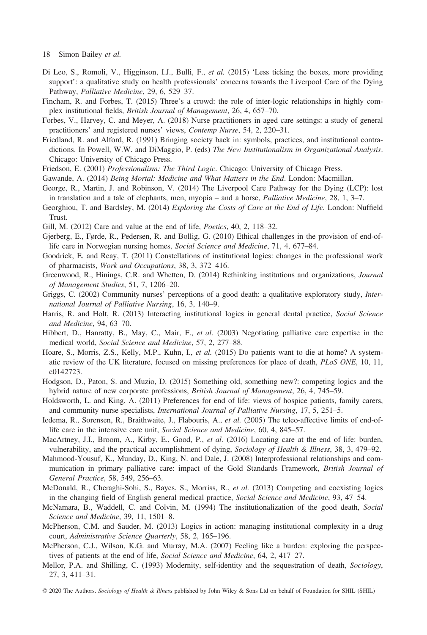- 18 Simon Bailey et al.
- Di Leo, S., Romoli, V., Higginson, I.J., Bulli, F., et al. (2015) 'Less ticking the boxes, more providing support': a qualitative study on health professionals' concerns towards the Liverpool Care of the Dying Pathway, Palliative Medicine, 29, 6, 529–37.
- Fincham, R. and Forbes, T. (2015) Three's a crowd: the role of inter-logic relationships in highly complex institutional fields, British Journal of Management, 26, 4, 657–70.
- Forbes, V., Harvey, C. and Meyer, A. (2018) Nurse practitioners in aged care settings: a study of general practitioners' and registered nurses' views, Contemp Nurse, 54, 2, 220–31.
- Friedland, R. and Alford, R. (1991) Bringing society back in: symbols, practices, and institutional contradictions. In Powell, W.W. and DiMaggio, P. (eds) The New Institutionalism in Organizational Analysis. Chicago: University of Chicago Press.
- Friedson, E. (2001) Professionalism: The Third Logic. Chicago: University of Chicago Press.
- Gawande, A. (2014) Being Mortal: Medicine and What Matters in the End. London: Macmillan.
- George, R., Martin, J. and Robinson, V. (2014) The Liverpool Care Pathway for the Dying (LCP): lost in translation and a tale of elephants, men, myopia – and a horse, Palliative Medicine, 28, 1, 3–7.
- Georghiou, T. and Bardsley, M. (2014) Exploring the Costs of Care at the End of Life. London: Nuffield Trust.
- Gill, M. (2012) Care and value at the end of life, *Poetics*, 40, 2, 118–32.
- Gjerberg, E., Førde, R., Pedersen, R. and Bollig, G. (2010) Ethical challenges in the provision of end-oflife care in Norwegian nursing homes, Social Science and Medicine, 71, 4, 677–84.
- Goodrick, E. and Reay, T. (2011) Constellations of institutional logics: changes in the professional work of pharmacists, Work and Occupations, 38, 3, 372–416.
- Greenwood, R., Hinings, C.R. and Whetten, D. (2014) Rethinking institutions and organizations, Journal of Management Studies, 51, 7, 1206–20.
- Griggs, C. (2002) Community nurses' perceptions of a good death: a qualitative exploratory study, International Journal of Palliative Nursing, 16, 3, 140–9.
- Harris, R. and Holt, R. (2013) Interacting institutional logics in general dental practice, Social Science and Medicine, 94, 63–70.
- Hibbert, D., Hanratty, B., May, C., Mair, F., et al. (2003) Negotiating palliative care expertise in the medical world, Social Science and Medicine, 57, 2, 277–88.
- Hoare, S., Morris, Z.S., Kelly, M.P., Kuhn, I., et al. (2015) Do patients want to die at home? A systematic review of the UK literature, focused on missing preferences for place of death, PLoS ONE, 10, 11, e0142723.
- Hodgson, D., Paton, S. and Muzio, D. (2015) Something old, something new?: competing logics and the hybrid nature of new corporate professions, British Journal of Management, 26, 4, 745–59.
- Holdsworth, L. and King, A. (2011) Preferences for end of life: views of hospice patients, family carers, and community nurse specialists, International Journal of Palliative Nursing, 17, 5, 251–5.
- Iedema, R., Sorensen, R., Braithwaite, J., Flabouris, A., et al. (2005) The teleo-affective limits of end-oflife care in the intensive care unit, Social Science and Medicine, 60, 4, 845–57.
- MacArtney, J.I., Broom, A., Kirby, E., Good, P., et al. (2016) Locating care at the end of life: burden, vulnerability, and the practical accomplishment of dying, Sociology of Health & Illness, 38, 3, 479–92.
- Mahmood-Yousuf, K., Munday, D., King, N. and Dale, J. (2008) Interprofessional relationships and communication in primary palliative care: impact of the Gold Standards Framework, British Journal of General Practice, 58, 549, 256–63.
- McDonald, R., Cheraghi-Sohi, S., Bayes, S., Morriss, R., et al. (2013) Competing and coexisting logics in the changing field of English general medical practice, Social Science and Medicine, 93, 47–54.
- McNamara, B., Waddell, C. and Colvin, M. (1994) The institutionalization of the good death, Social Science and Medicine, 39, 11, 1501–8.
- McPherson, C.M. and Sauder, M. (2013) Logics in action: managing institutional complexity in a drug court, Administrative Science Quarterly, 58, 2, 165–196.
- McPherson, C.J., Wilson, K.G. and Murray, M.A. (2007) Feeling like a burden: exploring the perspectives of patients at the end of life, Social Science and Medicine, 64, 2, 417–27.
- Mellor, P.A. and Shilling, C. (1993) Modernity, self-identity and the sequestration of death, Sociology, 27, 3, 411–31.
- © 2020 The Authors. Sociology of Health & Illness published by John Wiley & Sons Ltd on behalf of Foundation for SHIL (SHIL)